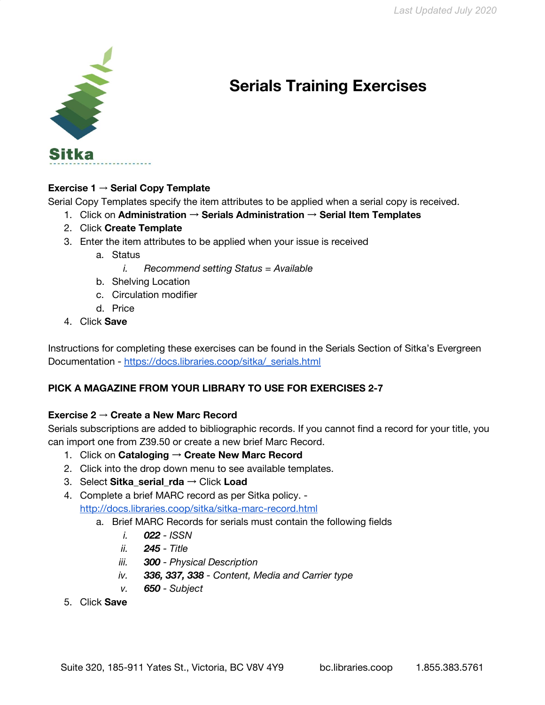

# **Serials Training Exercises**

## **Exercise 1** → **Serial Copy Template**

Serial Copy Templates specify the item attributes to be applied when a serial copy is received.

- 1. Click on **Administration** → **Serials Administration** → **Serial Item Templates**
- 2. Click **Create Template**
- 3. Enter the item attributes to be applied when your issue is received
	- a. Status
		- *i. Recommend setting Status = Available*
	- b. Shelving Location
	- c. Circulation modifier
	- d. Price
- 4. Click **Save**

Instructions for completing these exercises can be found in the Serials Section of Sitka's Evergreen Documentation - [https://docs.libraries.coop/sitka/\\_serials.html](https://docs.libraries.coop/sitka/_serials.html)

# **PICK A MAGAZINE FROM YOUR LIBRARY TO USE FOR EXERCISES 2-7**

## **Exercise 2** → **Create a New Marc Record**

Serials subscriptions are added to bibliographic records. If you cannot find a record for your title, you can import one from Z39.50 or create a new brief Marc Record.

- 1. Click on **Cataloging** → **Create New Marc Record**
- 2. Click into the drop down menu to see available templates.
- 3. Select **Sitka\_serial\_rda** → Click **Load**
- 4. Complete a brief MARC record as per Sitka policy. <http://docs.libraries.coop/sitka/sitka-marc-record.html>
	- a. Brief MARC Records for serials must contain the following fields
		- *i. 022 - ISSN*
		- *ii. 245 - Title*
		- *iii. 300 - Physical Description*
		- *iv. 336, 337, 338 - Content, Media and Carrier type*
		- *v. 650 - Subject*
- 5. Click **Save**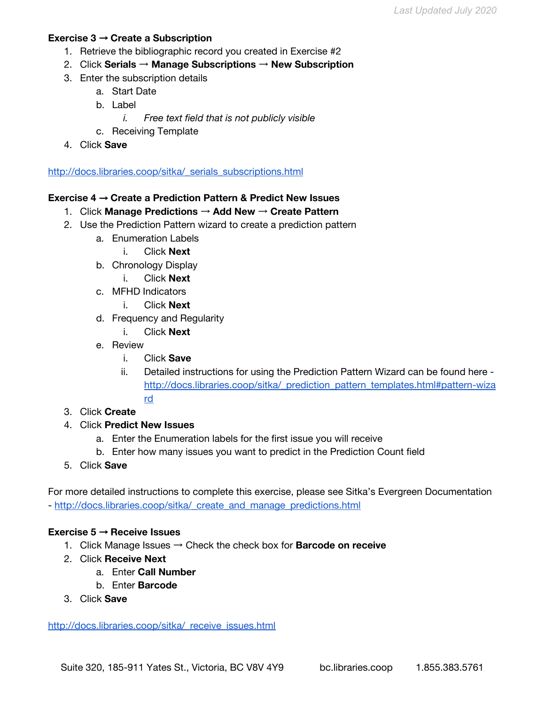#### **Exercise 3** → **Create a Subscription**

- 1. Retrieve the bibliographic record you created in Exercise #2
- 2. Click **Serials** → **Manage Subscriptions** → **New Subscription**
- 3. Enter the subscription details
	- a. Start Date
	- b. Label
		- *i. Free text field that is not publicly visible*
	- c. Receiving Template
- 4. Click **Save**

[http://docs.libraries.coop/sitka/\\_serials\\_subscriptions.html](http://docs.libraries.coop/sitka/_serials_subscriptions.html)

#### **Exercise 4** → **Create a Prediction Pattern & Predict New Issues**

- 1. Click **Manage Predictions** → **Add New** → **Create Pattern**
- 2. Use the Prediction Pattern wizard to create a prediction pattern
	- a. Enumeration Labels
		- i. Click **Next**
	- b. Chronology Display
		- i. Click **Next**
	- c. MFHD Indicators
		- i. Click **Next**
	- d. Frequency and Regularity
		- i. Click **Next**
	- e. Review
		- i. Click **Save**
		- ii. Detailed instructions for using the Prediction Pattern Wizard can be found here [http://docs.libraries.coop/sitka/\\_prediction\\_pattern\\_templates.html#pattern-wiza](http://docs.libraries.coop/sitka/_prediction_pattern_templates.html#pattern-wizard) [rd](http://docs.libraries.coop/sitka/_prediction_pattern_templates.html#pattern-wizard)
- 3. Click **Create**
- 4. Click **Predict New Issues**
	- a. Enter the Enumeration labels for the first issue you will receive
	- b. Enter how many issues you want to predict in the Prediction Count field
- 5. Click **Save**

For more detailed instructions to complete this exercise, please see Sitka's Evergreen Documentation - [http://docs.libraries.coop/sitka/\\_create\\_and\\_manage\\_predictions.html](http://docs.libraries.coop/sitka/_create_and_manage_predictions.html)

#### **Exercise 5** → **Receive Issues**

- 1. Click Manage Issues → Check the check box for **Barcode on receive**
- 2. Click **Receive Next**
	- a. Enter **Call Number**
	- b. Enter **Barcode**
- 3. Click **Save**

http://docs.libraries.coop/sitka/ receive\_issues.html